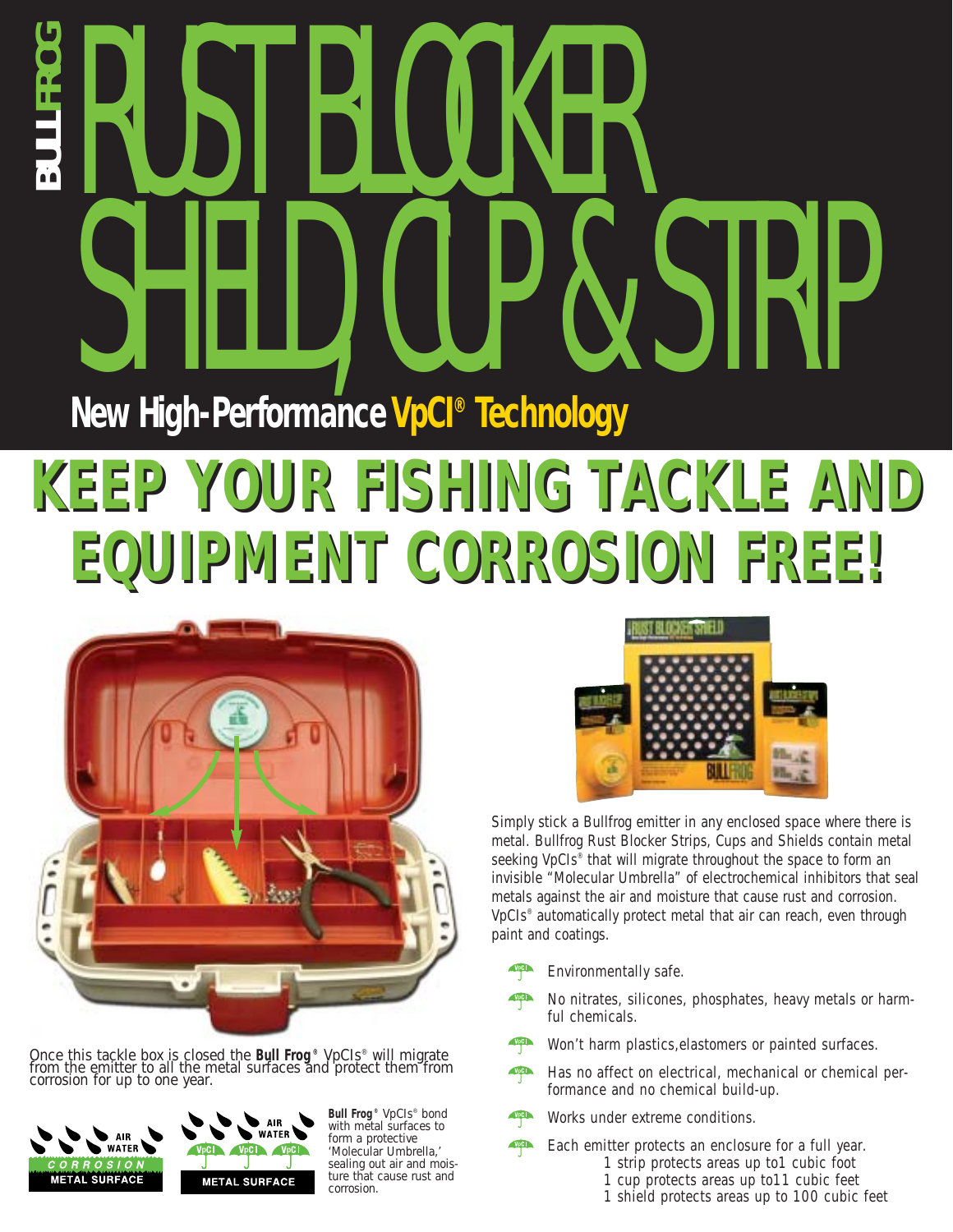# RUST BLOCKER SHIELD, CUP & STRIP **BULLFROG New High-Performance VpCI® Technology**

## **KEEP YOUR FISHING TACKLE AND KEEP YOUR FISHING TACKLE AND EQUIPMENT CORROSION FREE! EQUIPMENT CORROSION FREE!**



Once this tackle box is closed the *Bull Frog ® VpCIs®* will migrate from the emitter to all the metal surfaces and protect them from corrosion for up to one year.



*Bull Frog ® VpCIs® bond with metal surfaces to form a protective 'Molecular Umbrella,' sealing out air and moisture that cause rust and corrosion.*



Simply stick a Bullfrog emitter in any enclosed space where there is metal. Bullfrog Rust Blocker Strips, Cups and Shields contain metal seeking VpCIs® that will migrate throughout the space to form an invisible "Molecular Umbrella" of electrochemical inhibitors that seal metals against the air and moisture that cause rust and corrosion. VpCIs® automatically protect metal that air can reach, even through paint and coatings.

- Environmentally safe. *<u>p</u>*
- No nitrates, silicones, phosphates, heavy metals or harmful chemicals. **p**<sup>p</sup>
- Won't harm plastics,elastomers or painted surfaces. *<u>p</u>*
- Has no affect on electrical, mechanical or chemical performance and no chemical build-up. **p**<sub>p</sub>**p**
- Works under extreme conditions. *<u>P*</u>

Each emitter protects an enclosure for a full year. 1 strip protects areas up to1 cubic foot **P**<sub>p</sub>C<sub>1</sub>

- 1 cup protects areas up to11 cubic feet
- 1 shield protects areas up to 100 cubic feet